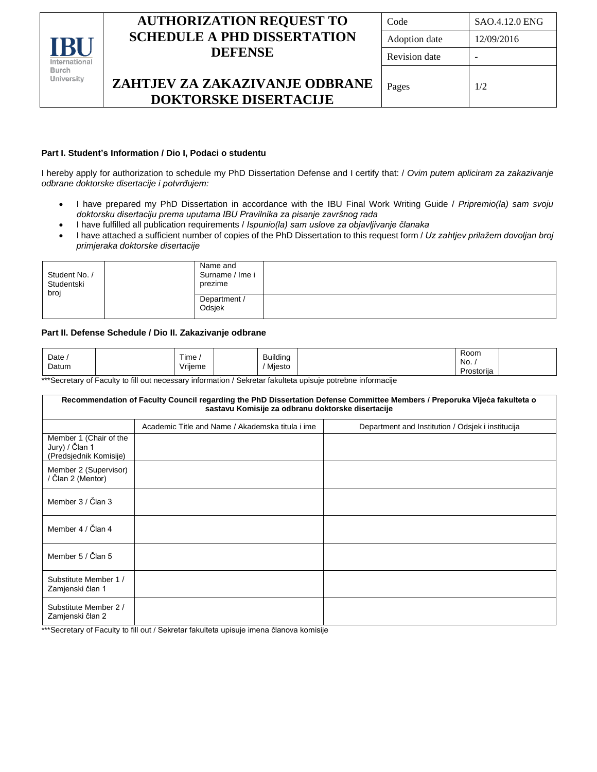

# **AUTHORIZATION REQUEST TO SCHEDULE A PHD DISSERTATION DEFENSE**

| Code                 | <b>SAO.4.12.0 ENG</b> |
|----------------------|-----------------------|
| Adoption date        | 12/09/2016            |
| <b>Revision</b> date |                       |
| Pages                | 1/2                   |

# **ZAHTJEV ZA ZAKAZIVANJE ODBRANE DOKTORSKE DISERTACIJE**

### **Part I. Student's Information / Dio I, Podaci o studentu**

I hereby apply for authorization to schedule my PhD Dissertation Defense and I certify that: / *Ovim putem apliciram za zakazivanje odbrane doktorske disertacije i potvrđujem:*

- I have prepared my PhD Dissertation in accordance with the IBU Final Work Writing Guide / *Pripremio(la) sam svoju doktorsku disertaciju prema uputama IBU Pravilnika za pisanje završnog rada*
- I have fulfilled all publication requirements / *Ispunio(la) sam uslove za objavljivanje članaka*
- I have attached a sufficient number of copies of the PhD Dissertation to this request form / *Uz zahtjev prilažem dovoljan broj primjeraka doktorske disertacije*

| Student No. /<br>Studentski<br>broj | Name and<br>Surname / Ime i<br>prezime<br>Department /<br>Odsjek |  |  |
|-------------------------------------|------------------------------------------------------------------|--|--|
|                                     |                                                                  |  |  |

#### **Part II. Defense Schedule / Dio II. Zakazivanje odbrane**

| Date  | j<br>⊺ime | Building | Room<br>.               |  |
|-------|-----------|----------|-------------------------|--|
| Datum | Vriieme   | Miesto   | No.                     |  |
|       |           |          | $\cdot$ .<br>Prostorija |  |

\*\*\*Secretary of Faculty to fill out necessary information / Sekretar fakulteta upisuje potrebne informacije

### **Recommendation of Faculty Council regarding the PhD Dissertation Defense Committee Members / Preporuka Vijeća fakulteta o sastavu Komisije za odbranu doktorske disertacije** Academic Title and Name / Akademska titula i ime | Department and Institution / Odsjek i institucija Member 1 (Chair of the Jury) / Član 1 (Predsjednik Komisije) Member 2 (Supervisor) / Član 2 (Mentor) Member 3 / Član 3 Member 4 / Član 4 Member 5 / Član 5 Substitute Member 1 / Zamjenski član 1 Substitute Member 2 / Zamjenski član 2

\*\*\*Secretary of Faculty to fill out / Sekretar fakulteta upisuje imena članova komisije